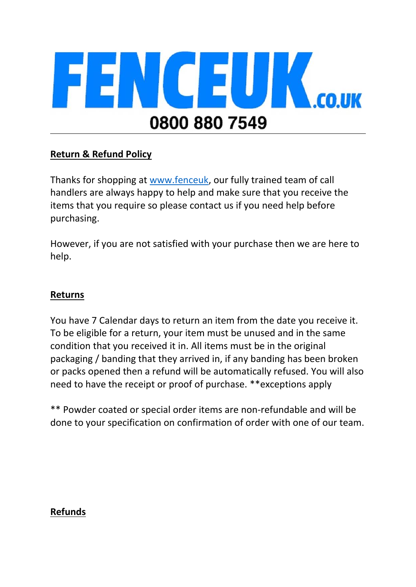

# **Return & Refund Policy**

Thanks for shopping at www.fenceuk, our fully trained team of call handlers are always happy to help and make sure that you receive the items that you require so please contact us if you need help before purchasing.

However, if you are not satisfied with your purchase then we are here to help.

## **Returns**

You have 7 Calendar days to return an item from the date you receive it. To be eligible for a return, your item must be unused and in the same condition that you received it in. All items must be in the original packaging / banding that they arrived in, if any banding has been broken or packs opened then a refund will be automatically refused. You will also need to have the receipt or proof of purchase. \*\*exceptions apply

\*\* Powder coated or special order items are non-refundable and will be done to your specification on confirmation of order with one of our team.

## **Refunds**